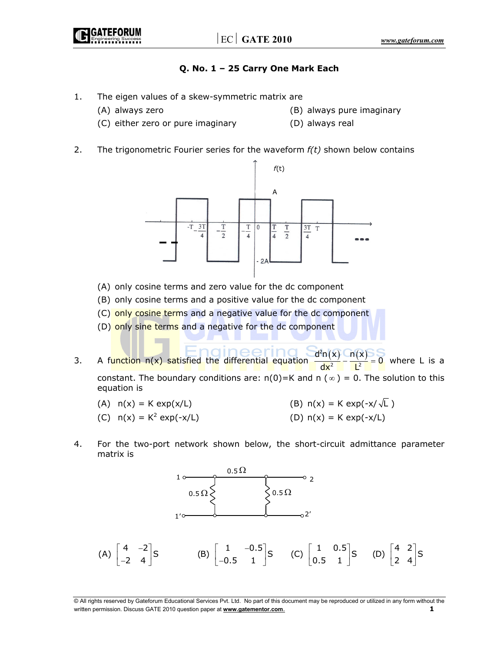# **Q. No. 1 – 25 Carry One Mark Each**

- 1. The eigen values of a skew-symmetric matrix are
	-
	- (A) always zero (B) always pure imaginary
	- (C) either zero or pure imaginary (D) always real
- 
- 2. The trigonometric Fourier series for the waveform *f(t)* shown below contains



- (A) only cosine terms and zero value for the dc component
- (B) only cosine terms and a positive value for the dc component
- (C) only cosine terms and a negative value for the dc component
- (D) only sine terms and a negative for the dc component
- 3. A function  $n(x)$  satisfied the differential equation  $\frac{d^2n(x)}{dx^2} \frac{n(x)}{1^2}$  $\frac{d^2n(x)}{dx^2} - \frac{n(x)}{L^2} = 0$  where L is a constant. The boundary conditions are:  $n(0)=K$  and  $n(\infty) = 0$ . The solution to this equation is
	- (A)  $n(x) = K \exp(x/L)$  (B)  $n(x) = K \exp(-x/\sqrt{L})$ (C)  $n(x) = K^2 \exp(-x/L)$ (D)  $n(x) = K \exp(-x/L)$
- 4. For the two-port network shown below, the short-circuit admittance parameter matrix is



<sup>©</sup> All rights reserved by Gateforum Educational Services Pvt. Ltd. No part of this document may be reproduced or utilized in any form without the written permission. Discuss GATE 2010 question paper at **www.gatementor.com**.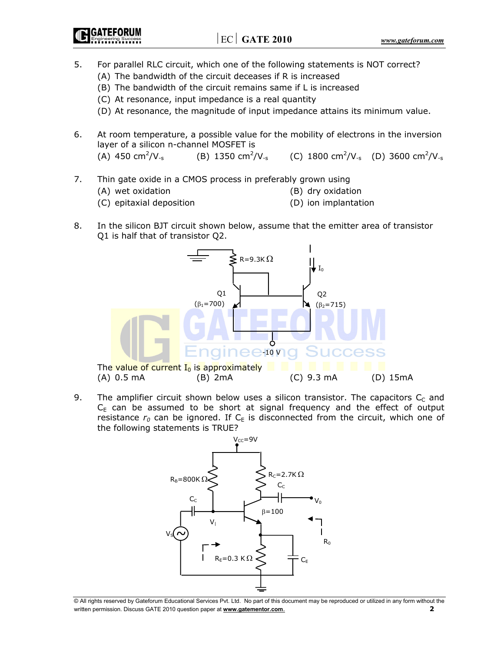GATEFORUM

- 5. For parallel RLC circuit, which one of the following statements is NOT correct?
	- (A) The bandwidth of the circuit deceases if R is increased
	- (B) The bandwidth of the circuit remains same if L is increased
	- (C) At resonance, input impedance is a real quantity
	- (D) At resonance, the magnitude of input impedance attains its minimum value.
- 6. At room temperature, a possible value for the mobility of electrons in the inversion layer of a silicon n-channel MOSFET is

(A) 450 cm<sup>2</sup>/V<sub>-s</sub> /V<sub>-s</sub> (B) 1350 cm<sup>2</sup>/V<sub>-s</sub> (C) 1800 cm<sup>2</sup>/V<sub>-s</sub> (D) 3600 cm<sup>2</sup>/V<sub>-s</sub>

- 7. Thin gate oxide in a CMOS process in preferably grown using
	- (A) wet oxidation (B) dry oxidation
		-
	- (C) epitaxial deposition (D) ion implantation
- 8. In the silicon BJT circuit shown below, assume that the emitter area of transistor Q1 is half that of transistor Q2.



9. The amplifier circuit shown below uses a silicon transistor. The capacitors  $C_c$  and  $C_{E}$  can be assumed to be short at signal frequency and the effect of output resistance  $r_0$  can be ignored. If  $C_E$  is disconnected from the circuit, which one of the following statements is TRUE?



<sup>©</sup> All rights reserved by Gateforum Educational Services Pvt. Ltd. No part of this document may be reproduced or utilized in any form without the written permission. Discuss GATE 2010 question paper at **www.gatementor.com**. **2**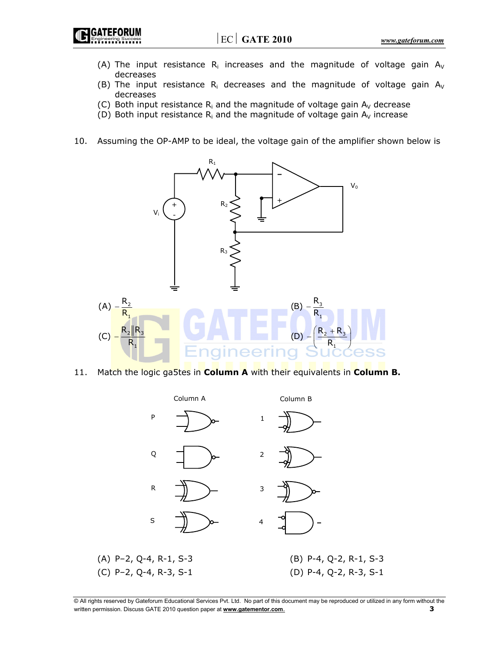IGATEFORUM

- (A) The input resistance  $R_i$  increases and the magnitude of voltage gain  $A_V$ decreases
- (B) The input resistance  $R_i$  decreases and the magnitude of voltage gain  $A_V$ decreases
- (C) Both input resistance  $R_i$  and the magnitude of voltage gain  $A_v$  decrease
- (D) Both input resistance  $R_i$  and the magnitude of voltage gain  $A_V$  increase
- 10. Assuming the OP-AMP to be ideal, the voltage gain of the amplifier shown below is



11. Match the logic ga5tes in **Column A** with their equivalents in **Column B.** 



<sup>©</sup> All rights reserved by Gateforum Educational Services Pvt. Ltd. No part of this document may be reproduced or utilized in any form without the written permission. Discuss GATE 2010 question paper at **www.gatementor.com**. **3**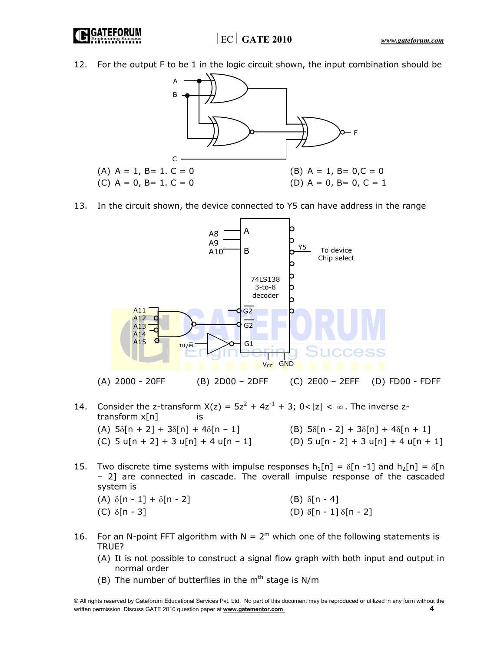**GATEFORUN** 

12. For the output F to be 1 in the logic circuit shown, the input combination should be



13. In the circuit shown, the device connected to Y5 can have address in the range



- 14. Consider the z-transform  $X(z) = 5z^2 + 4z^{-1} + 3$ ;  $0 < |z| < \infty$ . The inverse ztransform x[n] is (A)  $5\delta[n + 2] + 3\delta[n] + 4\delta[n - 1]$  (B)  $5\delta[n - 2] + 3\delta[n] + 4\delta[n + 1]$ (C) 5 u[n + 2] + 3 u[n] + 4 u[n - 1] (D) 5 u[n - 2] + 3 u[n] + 4 u[n + 1]
- 15. Two discrete time systems with impulse responses  $h_1[n] = \delta[n-1]$  and  $h_2[n] = \delta[n]$ – 2] are connected in cascade. The overall impulse response of the cascaded system is (A)  $\delta[n-1] + \delta[n-2]$  (B)  $\delta[n-4]$ 
	- (C)  $\delta$ [n 3] (D)  $\delta$ [n 1]  $\delta$ [n 2]
- 16. For an N-point FFT algorithm with  $N = 2<sup>m</sup>$  which one of the following statements is TRUE?
	- (A) It is not possible to construct a signal flow graph with both input and output in normal order
	- (B) The number of butterflies in the  $m<sup>th</sup>$  stage is N/m

<sup>©</sup> All rights reserved by Gateforum Educational Services Pvt. Ltd. No part of this document may be reproduced or utilized in any form without the written permission. Discuss GATE 2010 question paper at **www.gatementor.com**. **4**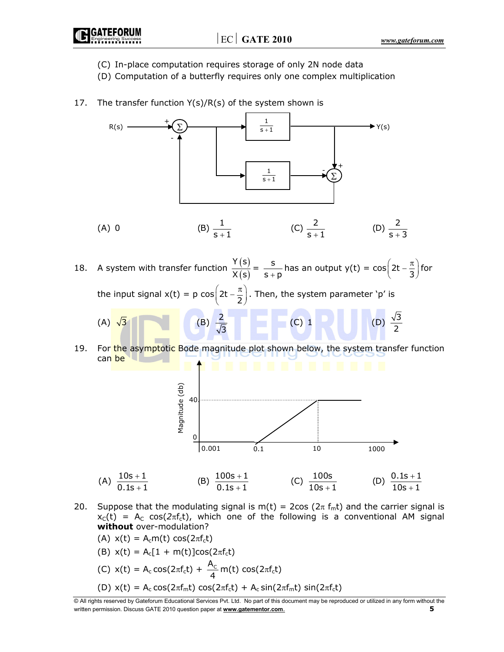- (C) In-place computation requires storage of only 2N node data
- (D) Computation of a butterfly requires only one complex multiplication
- 17. The transfer function  $Y(s)/R(s)$  of the system shown is



20. Suppose that the modulating signal is m(t) = 2cos ( $2\pi f_m t$ ) and the carrier signal is  $x<sub>C</sub>(t)$  = A<sub>C</sub> cos( $2\pi f<sub>c</sub>(t)$ , which one of the following is a conventional AM signal **without** over-modulation?

(A) 
$$
x(t) = A_c m(t) \cos(2\pi f_c t)
$$

(B)  $x(t) = A_c[1 + m(t)]\cos(2\pi f_c t)$ 

(C) 
$$
x(t) = A_c \cos(2\pi f_c t) + \frac{A_c}{4} m(t) \cos(2\pi f_c t)
$$
  
(D)  $x(t) = A_c \cos(2\pi f_m t) \cos(2\pi f_c t) + A_c \sin(2\pi f_m t) \sin(2\pi f_c t)$ 

<sup>©</sup> All rights reserved by Gateforum Educational Services Pvt. Ltd. No part of this document may be reproduced or utilized in any form without the written permission. Discuss GATE 2010 question paper at **www.gatementor.com**. **5**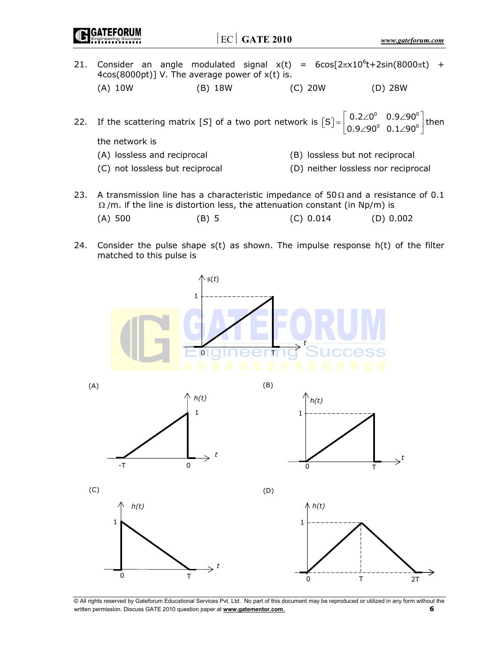**IGATEFORUM** 

- 21. Consider an angle modulated signal  $x(t) = 6\cos[2\pi x 10^6 t + 2\sin(8000\pi t) +$ 4cos(8000pt)] V. The average power of x(t) is. (A) 10W (B) 18W (C) 20W (D) 28W
- 22. If the scattering matrix [S] of a two port network is  $\begin{bmatrix} S \end{bmatrix} = \begin{bmatrix} 0.2\angle 0^0 & 0.9\angle 90^0 \\ 0.2 & 0.2 \end{bmatrix}$  $\mathcal{S}$ ]= $\begin{bmatrix} 0.2\angle 0^{\circ} & 0.9\angle 90^{\circ} \\ 0.9\angle 90^{\circ} & 0.1\angle 90^{\circ} \end{bmatrix}$  $[S] = \begin{bmatrix} 0.2\angle 0^{\circ} & 0.9\angle 90^{\circ} \\ 0.9\angle 90^{\circ} & 0.1\angle 90^{\circ} \end{bmatrix}$  then the network is
	- (A) lossless and reciprocal (B) lossless but not reciprocal
	- (C) not lossless but reciprocal (D) neither lossless nor reciprocal
- 23. A transmission line has a characteristic impedance of  $50 \Omega$  and a resistance of 0.1  $\Omega$ /m. if the line is distortion less, the attenuation constant (in Np/m) is (A) 500 (B) 5 (C) 0.014 (D) 0.002
- 24. Consider the pulse shape  $s(t)$  as shown. The impulse response  $h(t)$  of the filter matched to this pulse is

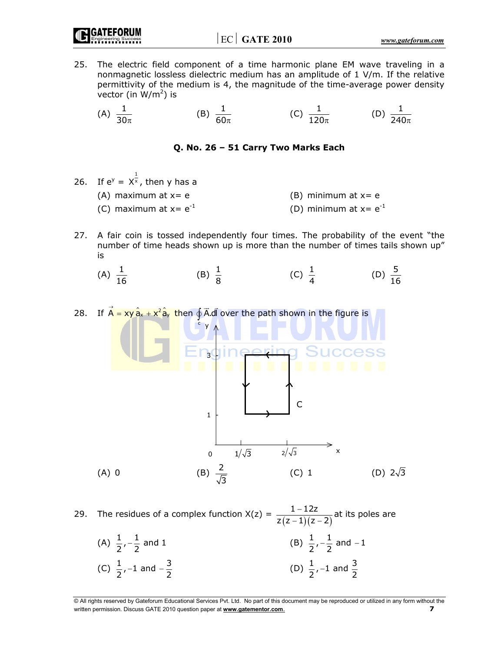GATEFORI

- 25. The electric field component of a time harmonic plane EM wave traveling in a nonmagnetic lossless dielectric medium has an amplitude of 1 V/m. If the relative permittivity of the medium is 4, the magnitude of the time-average power density vector (in  $W/m^2$ ) is
- (A)  $\frac{1}{30\pi}$ (B)  $\frac{1}{60\pi}$  (C)  $\frac{1}{120\pi}$  (D)  $\frac{1}{240\pi}$

#### **Q. No. 26 – 51 Carry Two Marks Each**

- 26. If  $e^y = X^{\frac{1}{x}}$ , then y has a (A) maximum at  $x= e$  (B) minimum at  $x= e$ (C) maximum at  $x = e^{-1}$  (D) minimum at  $x = e^{-1}$
- 27. A fair coin is tossed independently four times. The probability of the event "the number of time heads shown up is more than the number of times tails shown up" is
	- (A)  $\frac{1}{16}$ (B)  $\frac{1}{8}$  $\frac{1}{8}$  (C)  $\frac{1}{4}$  (D)  $\frac{5}{16}$ (D)  $\frac{5}{16}$

28. If  $\vec{A} = xy\,\hat{a}_x + x^2\hat{a}_y$  then  $\oint \vec{A}$ .dl  $\overline{\phantom{a}}$  $\oint$  A.dl over the path shown in the figure is  $\overline{ }$ 



29. The residues of a complex function  $X(z) = \frac{1-12z}{z(z-1)(z-2)}$  $z(z - 1)(z - 2)$  $\frac{(1-1)z}{(z-1)(z-2)}$ at its poles are (A)  $\frac{1}{2}, -\frac{1}{2}$  and 1 (B)  $\frac{1}{2}, -\frac{1}{2}$  and -1

(C)  $\frac{1}{2}$ , -1 and  $-\frac{3}{2}$  (D)  $\frac{1}{2}$ , -1 and  $\frac{3}{2}$ 

<sup>©</sup> All rights reserved by Gateforum Educational Services Pvt. Ltd. No part of this document may be reproduced or utilized in any form without the written permission. Discuss GATE 2010 question paper at **www.gatementor.com**. **7**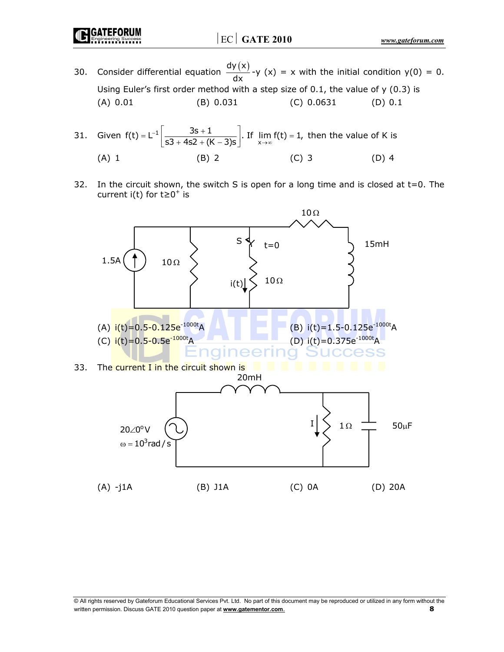**GATEFORUN** 

- 30. Consider differential equation  $\frac{dy(x)}{dx}$ -y (x) = x with the initial condition y(0) = 0. Using Euler's first order method with a step size of 0.1, the value of y (0.3) is (A) 0.01 (B) 0.031 (C) 0.0631 (D) 0.1
- 31. Given  $f(t) = L^{-1} \left| \frac{3s + 1}{s3 + 4s2 + (K 3)s} \right|$ . If  $\lim_{x \to \infty} f(t) = 1$ , then the value of K is  $= L^{-1} \left[ \frac{3s + 1}{s3 + 4s2 + (K - 3)s} \right]$ . If  $\lim_{x \to \infty} f(t) =$ (A) 1 (B) 2 (C) 3 (D) 4
- 32. In the circuit shown, the switch S is open for a long time and is closed at t=0. The current i(t) for  $t \ge 0^+$  is

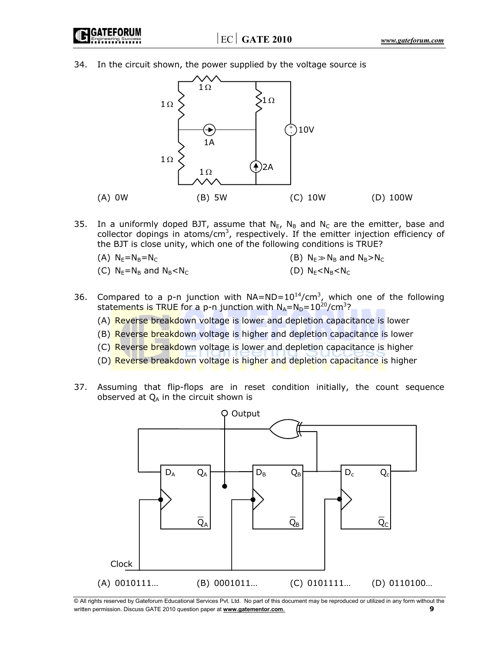

34. In the circuit shown, the power supplied by the voltage source is



- 35. In a uniformly doped BJT, assume that  $N_{E}$ ,  $N_{B}$  and  $N_{C}$  are the emitter, base and collector dopings in atoms/ $cm<sup>3</sup>$ , respectively. If the emitter injection efficiency of the BJT is close unity, which one of the following conditions is TRUE?
	- (A)  $N_E = N_B = N_C$  (B)  $N_E \gg N_B$  and  $N_B > N_C$
	- (C)  $N_E = N_B$  and  $N_B < N_C$  (D)  $N_E < N_B < N_C$
- 
- 36. Compared to a p-n junction with  $NA=ND=10^{14}/cm^3$ , which one of the following statements is TRUE for a p-n junction with  $N_A = N_D = 10^{20} / \text{cm}^3$ ?
	- (A) Reverse breakdown voltage is lower and depletion capacitance is lower
	- (B) Reverse breakdown voltage is higher and depletion capacitance is lower
	- (C) Reverse breakdown voltage is lower and depletion capacitance is higher
	- (D) Reverse breakdown voltage is higher and depletion capacitance is higher
- 37. Assuming that flip-flops are in reset condition initially, the count sequence observed at  $Q_A$  in the circuit shown is

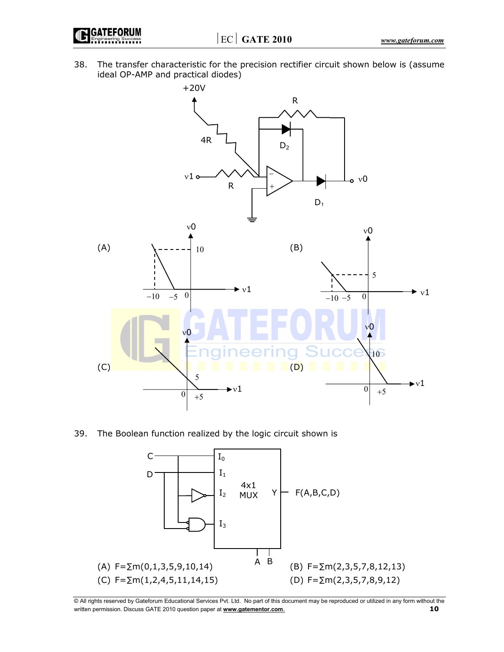⏐EC⏐ **GATE 2010**  *www.gateforum.com* 



38. The transfer characteristic for the precision rectifier circuit shown below is (assume ideal OP-AMP and practical diodes)



39. The Boolean function realized by the logic circuit shown is

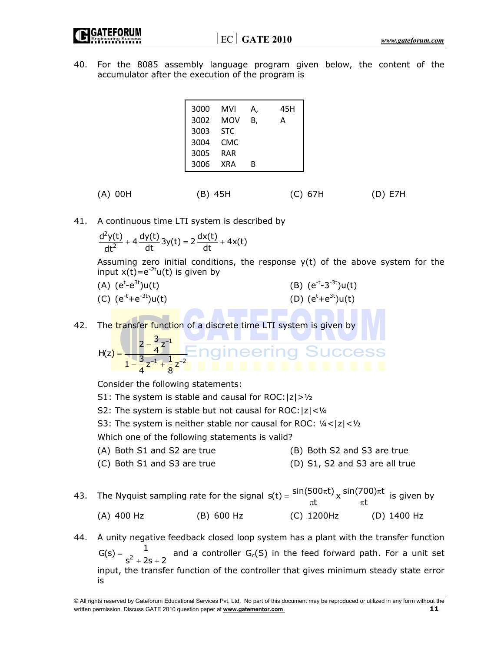40. For the 8085 assembly language program given below, the content of the accumulator after the execution of the program is

| 3000 | MVI        | А, | 45H |
|------|------------|----|-----|
| 3002 | MOV        | В. | А   |
| 3003 | <b>STC</b> |    |     |
| 3004 | CMC.       |    |     |
| 3005 | <b>RAR</b> |    |     |
| 3006 | <b>XRA</b> | R  |     |

(A) 00H (B) 45H (C) 67H (D) E7H

41. A continuous time LTI system is described by

$$
\frac{d^2y(t)}{dt^2} + 4\frac{dy(t)}{dt}3y(t) = 2\frac{dx(t)}{dt} + 4x(t)
$$

Assuming zero initial conditions, the response  $y(t)$  of the above system for the input  $x(t)=e^{-2t}u(t)$  is given by

(A)  $(e^{t}-e^{3t})u(t)$ (B)  $(e^{-t}-3^{-3t})u(t)$ (C)  $(e^{-t}+e^{-3t})u(t)$ (D)  $(e^{t}+e^{3t})u(t)$ 

42. The transfer function of a discrete time LTI system is given by

$$
H(z) = \frac{2 - \frac{3}{4}z^{-1}}{1 - \frac{3}{4}z^{-1} + \frac{1}{8}z^{-2}}
$$

Consider the following statements:

- S1: The system is stable and causal for ROC: $|z| > \frac{1}{2}$
- S2: The system is stable but not causal for ROC: $|z| < \frac{1}{4}$
- S3: The system is neither stable nor causal for ROC: ¼<|z|<½

Which one of the following statements is valid?

- (A) Both S1 and S2 are true (B) Both S2 and S3 are true
- (C) Both S1 and S3 are true (D) S1, S2 and S3 are all true
- 43. The Nyquist sampling rate for the signal  $s(t) = \frac{\sin(500\pi t)}{\pi t} \times \frac{\sin(700)\pi t}{\pi t}$  is given by (A) 400 Hz (B) 600 Hz (C) 1200Hz (D) 1400 Hz
- 44. A unity negative feedback closed loop system has a plant with the transfer function  $G(s) = \frac{1}{s^2 + 2s + 2}$  and a controller  $G_c(S)$  in the feed forward path. For a unit set input, the transfer function of the controller that gives minimum steady state error is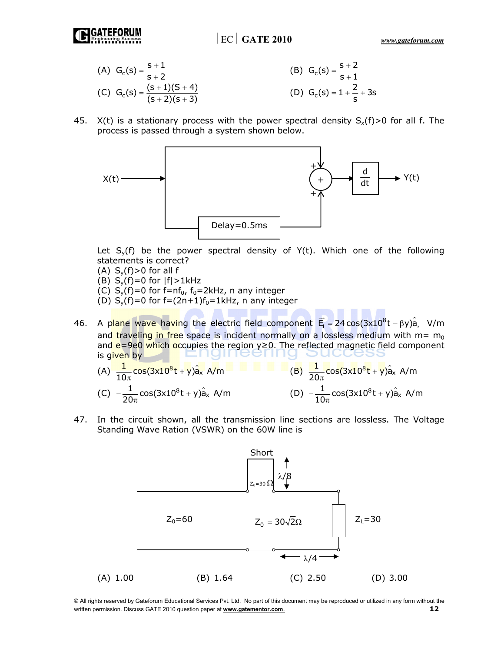(A) 
$$
G_c(s) = \frac{s+1}{s+2}
$$
  
\n(B)  $G_c(s) = \frac{s+2}{s+1}$   
\n(C)  $G_c(s) = \frac{(s+1)(S+4)}{(s+2)(s+3)}$   
\n(D)  $G_c(s) = 1 + \frac{2}{s} + 3s$ 

45. X(t) is a stationary process with the power spectral density  $S_x(f) > 0$  for all f. The process is passed through a system shown below.



Let  $S_y(f)$  be the power spectral density of  $Y(t)$ . Which one of the following statements is correct?

- (A)  $S_v(f) > 0$  for all f
- (B)  $S_y(f)=0$  for  $|f|>1$ kHz
- (C)  $S_y(f)=0$  for f=nf<sub>0</sub>, f<sub>0</sub>=2kHz, n any integer
- (D)  $S_y(f)=0$  for  $f=(2n+1)f_0=1kHz$ , n any integer
- 46. A plane wave having the electric field component  $\vec{E}_i = 24 \cos(3x10^8 t \beta y) \hat{a}_z$  V/m and traveling in free space is incident normally on a lossless medium with  $m = m_0$ and e=9e0 which occupies the region y≥0. The reflected magnetic field component is given by
- (A)  $\frac{1}{10\pi} \cos(3x10^8 t + y) \hat{a}_x$  A/m  $\overline{a}$  (B)  $\frac{1}{20\pi} \cos(3x10^8 t + y) \hat{a}_x$  A/m (C)  $-\frac{1}{20\pi}cos(3x10^8t + y)\hat{a}$ <sub>x</sub> A/m (D)  $-\frac{1}{10\pi}cos(3x10^8t + y)\hat{a}_x$  A/m
- 47. In the circuit shown, all the transmission line sections are lossless. The Voltage Standing Wave Ration (VSWR) on the 60W line is



<sup>©</sup> All rights reserved by Gateforum Educational Services Pvt. Ltd. No part of this document may be reproduced or utilized in any form without the written permission. Discuss GATE 2010 question paper at **www.gatementor.com**. **12**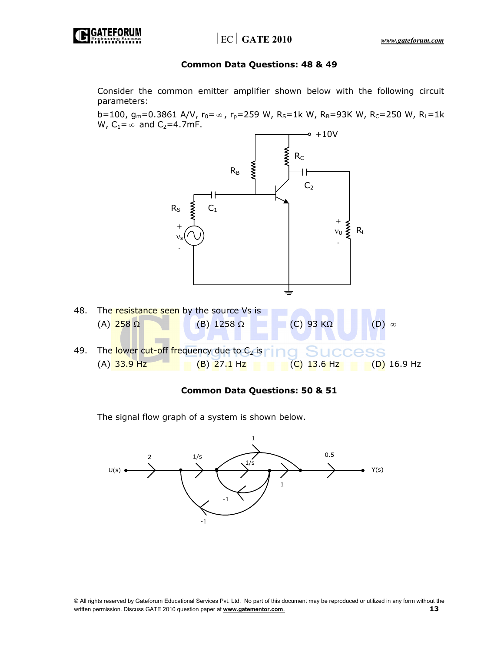

#### **Common Data Questions: 48 & 49**

 Consider the common emitter amplifier shown below with the following circuit parameters:

b=100, g<sub>m</sub>=0.3861 A/V, r<sub>0</sub>= $\infty$ , r<sub>p</sub>=259 W, R<sub>S</sub>=1k W, R<sub>B</sub>=93K W, R<sub>C</sub>=250 W, R<sub>L</sub>=1k W,  $C_1 = \infty$  and  $C_2 = 4.7$ mF.



#### **Common Data Questions: 50 & 51**

The signal flow graph of a system is shown below.

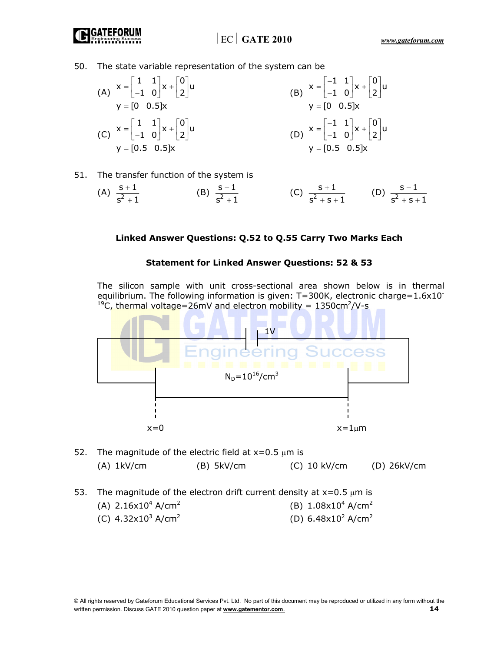$\vert$  EC  $\vert$  **GATE 2010**  *www.gateforum.com* 

50. The state variable representation of the system can be

(A)

\n
$$
x = \begin{bmatrix} 1 & 1 \\ -1 & 0 \end{bmatrix} x + \begin{bmatrix} 0 \\ 2 \end{bmatrix} u
$$
\n(B)

\n
$$
x = \begin{bmatrix} -1 & 1 \\ -1 & 0 \end{bmatrix} x + \begin{bmatrix} 0 \\ 2 \end{bmatrix} u
$$
\n(C)

\n
$$
x = \begin{bmatrix} 1 & 1 \\ -1 & 0 \end{bmatrix} x + \begin{bmatrix} 0 \\ 2 \end{bmatrix} u
$$
\n(D)

\n
$$
x = \begin{bmatrix} -1 & 1 \\ -1 & 0 \end{bmatrix} x + \begin{bmatrix} 0 \\ 2 \end{bmatrix} u
$$
\n(E)

\n
$$
y = \begin{bmatrix} 0 & 0.5 \end{bmatrix} x
$$
\n(D)

\n
$$
x = \begin{bmatrix} -1 & 1 \\ -1 & 0 \end{bmatrix} x + \begin{bmatrix} 0 \\ 2 \end{bmatrix} u
$$
\n(E)

\n
$$
y = \begin{bmatrix} 0 & 0.5 \end{bmatrix} x
$$
\n(E)

\n
$$
y = \begin{bmatrix} 0 & 0.5 \end{bmatrix} x
$$
\n(E)

\n
$$
y = \begin{bmatrix} 0 & 0.5 \end{bmatrix} x
$$

51. The transfer function of the system is

(A) 
$$
\frac{s+1}{s^2+1}
$$
 (B)  $\frac{s-1}{s^2+1}$  (C)  $\frac{s+1}{s^2+s+1}$  (D)  $\frac{s-1}{s^2+s+1}$ 

## **Linked Answer Questions: Q.52 to Q.55 Carry Two Marks Each**

### **Statement for Linked Answer Questions: 52 & 53**

 The silicon sample with unit cross-sectional area shown below is in thermal equilibrium. The following information is given:  $T=300K$ , electronic charge=1.6x10<sup>-</sup> <sup>19</sup>C, thermal voltage=26mV and electron mobility =  $1350 \text{cm}^2/\text{V-s}$ 



- 52. The magnitude of the electric field at  $x=0.5 \mu m$  is (A) 1kV/cm (B) 5kV/cm (C) 10 kV/cm (D) 26kV/cm
- 53. The magnitude of the electron drift current density at  $x=0.5 \mu m$  is
	- (A)  $2.16x10^4$  A/cm<sup>2</sup>  $A/cm<sup>2</sup>$  (B)  $1.08 \times 10<sup>4</sup> A/cm<sup>2</sup>$
	- (C)  $4.32 \times 10^3$  A/cm<sup>2</sup>  $A/cm<sup>2</sup>$  (D) 6.48x10<sup>2</sup> A/cm<sup>2</sup>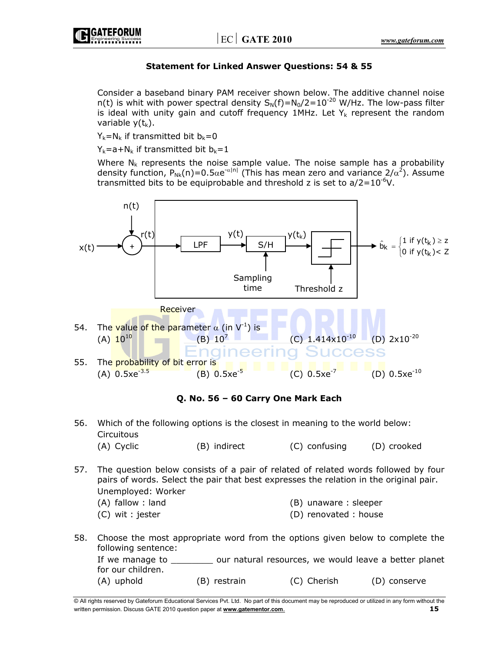

## **Statement for Linked Answer Questions: 54 & 55**

 Consider a baseband binary PAM receiver shown below. The additive channel noise n(t) is whit with power spectral density  $S_N(f)=N_0/2=10^{-20}$  W/Hz. The low-pass filter is ideal with unity gain and cutoff frequency 1MHz. Let  $Y_k$  represent the random variable  $y(t_k)$ .

 $Y_k = N_k$  if transmitted bit  $b_k = 0$ 

 $Y_k=a+N_k$  if transmitted bit  $b_k=1$ 

Where  $N_k$  represents the noise sample value. The noise sample has a probability density function,  $P_{Nk}(n)=0.5\alpha e^{-\alpha|n|}$  (This has mean zero and variance  $2/\alpha^2$ ). Assume transmitted bits to be equiprobable and threshold z is set to  $a/2=10^{-6}V$ .



**Q. No. 56 – 60 Carry One Mark Each** 

- 56. Which of the following options is the closest in meaning to the world below: **Circuitous** (A) Cyclic (B) indirect (C) confusing (D) crooked
- 57. The question below consists of a pair of related of related words followed by four pairs of words. Select the pair that best expresses the relation in the original pair. Unemployed: Worker
	- (A) fallow : land (B) unaware : sleeper
	- (C) wit : jester (D) renovated : house
- 58. Choose the most appropriate word from the options given below to complete the following sentence: If we manage to \_\_\_\_\_\_\_\_ our natural resources, we would leave a better planet for our children.

(A) uphold (B) restrain (C) Cherish (D) conserve

<sup>©</sup> All rights reserved by Gateforum Educational Services Pvt. Ltd. No part of this document may be reproduced or utilized in any form without the written permission. Discuss GATE 2010 question paper at **www.gatementor.com**. **15**